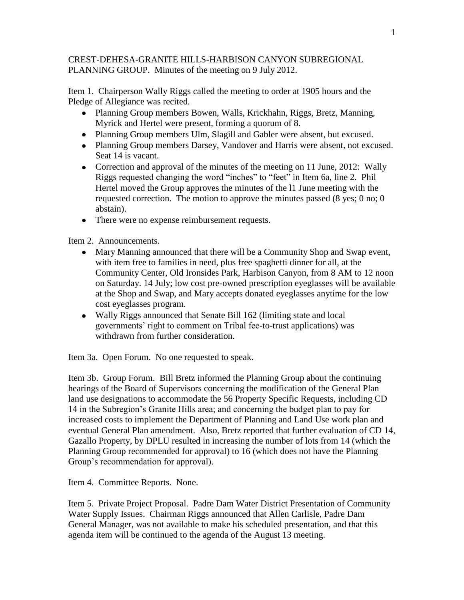## CREST-DEHESA-GRANITE HILLS-HARBISON CANYON SUBREGIONAL PLANNING GROUP. Minutes of the meeting on 9 July 2012.

Item 1. Chairperson Wally Riggs called the meeting to order at 1905 hours and the Pledge of Allegiance was recited.

- Planning Group members Bowen, Walls, Krickhahn, Riggs, Bretz, Manning, Myrick and Hertel were present, forming a quorum of 8.
- Planning Group members Ulm, Slagill and Gabler were absent, but excused.
- Planning Group members Darsey, Vandover and Harris were absent, not excused. Seat 14 is vacant.
- Correction and approval of the minutes of the meeting on 11 June, 2012: Wally Riggs requested changing the word "inches" to "feet" in Item 6a, line 2. Phil Hertel moved the Group approves the minutes of the l1 June meeting with the requested correction. The motion to approve the minutes passed (8 yes; 0 no; 0 abstain).
- There were no expense reimbursement requests.

Item 2. Announcements.

- Mary Manning announced that there will be a Community Shop and Swap event, with item free to families in need, plus free spaghetti dinner for all, at the Community Center, Old Ironsides Park, Harbison Canyon, from 8 AM to 12 noon on Saturday. 14 July; low cost pre-owned prescription eyeglasses will be available at the Shop and Swap, and Mary accepts donated eyeglasses anytime for the low cost eyeglasses program.
- Wally Riggs announced that Senate Bill 162 (limiting state and local governments' right to comment on Tribal fee-to-trust applications) was withdrawn from further consideration.

Item 3a. Open Forum. No one requested to speak.

Item 3b. Group Forum. Bill Bretz informed the Planning Group about the continuing hearings of the Board of Supervisors concerning the modification of the General Plan land use designations to accommodate the 56 Property Specific Requests, including CD 14 in the Subregion's Granite Hills area; and concerning the budget plan to pay for increased costs to implement the Department of Planning and Land Use work plan and eventual General Plan amendment. Also, Bretz reported that further evaluation of CD 14, Gazallo Property, by DPLU resulted in increasing the number of lots from 14 (which the Planning Group recommended for approval) to 16 (which does not have the Planning Group's recommendation for approval).

Item 4. Committee Reports. None.

Item 5. Private Project Proposal. Padre Dam Water District Presentation of Community Water Supply Issues. Chairman Riggs announced that Allen Carlisle, Padre Dam General Manager, was not available to make his scheduled presentation, and that this agenda item will be continued to the agenda of the August 13 meeting.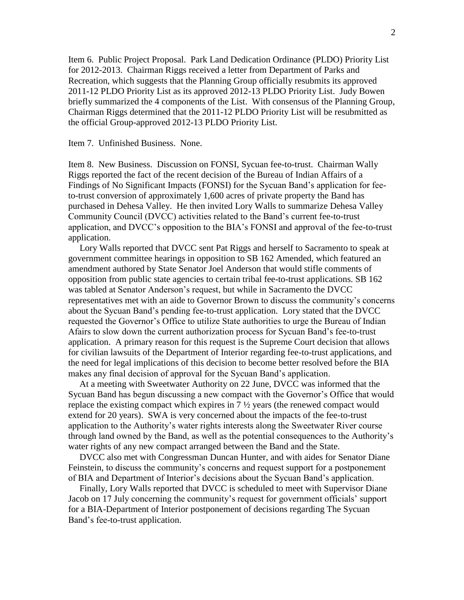Item 6. Public Project Proposal. Park Land Dedication Ordinance (PLDO) Priority List for 2012-2013. Chairman Riggs received a letter from Department of Parks and Recreation, which suggests that the Planning Group officially resubmits its approved 2011-12 PLDO Priority List as its approved 2012-13 PLDO Priority List. Judy Bowen briefly summarized the 4 components of the List. With consensus of the Planning Group, Chairman Riggs determined that the 2011-12 PLDO Priority List will be resubmitted as the official Group-approved 2012-13 PLDO Priority List.

## Item 7. Unfinished Business. None.

Item 8. New Business. Discussion on FONSI, Sycuan fee-to-trust. Chairman Wally Riggs reported the fact of the recent decision of the Bureau of Indian Affairs of a Findings of No Significant Impacts (FONSI) for the Sycuan Band's application for feeto-trust conversion of approximately 1,600 acres of private property the Band has purchased in Dehesa Valley. He then invited Lory Walls to summarize Dehesa Valley Community Council (DVCC) activities related to the Band's current fee-to-trust application, and DVCC's opposition to the BIA's FONSI and approval of the fee-to-trust application.

 Lory Walls reported that DVCC sent Pat Riggs and herself to Sacramento to speak at government committee hearings in opposition to SB 162 Amended, which featured an amendment authored by State Senator Joel Anderson that would stifle comments of opposition from public state agencies to certain tribal fee-to-trust applications. SB 162 was tabled at Senator Anderson's request, but while in Sacramento the DVCC representatives met with an aide to Governor Brown to discuss the community's concerns about the Sycuan Band's pending fee-to-trust application. Lory stated that the DVCC requested the Governor's Office to utilize State authorities to urge the Bureau of Indian Afairs to slow down the current authorization process for Sycuan Band's fee-to-trust application. A primary reason for this request is the Supreme Court decision that allows for civilian lawsuits of the Department of Interior regarding fee-to-trust applications, and the need for legal implications of this decision to become better resolved before the BIA makes any final decision of approval for the Sycuan Band's application.

 At a meeting with Sweetwater Authority on 22 June, DVCC was informed that the Sycuan Band has begun discussing a new compact with the Governor's Office that would replace the existing compact which expires in 7 ½ years (the renewed compact would extend for 20 years). SWA is very concerned about the impacts of the fee-to-trust application to the Authority's water rights interests along the Sweetwater River course through land owned by the Band, as well as the potential consequences to the Authority's water rights of any new compact arranged between the Band and the State.

 DVCC also met with Congressman Duncan Hunter, and with aides for Senator Diane Feinstein, to discuss the community's concerns and request support for a postponement of BIA and Department of Interior's decisions about the Sycuan Band's application.

 Finally, Lory Walls reported that DVCC is scheduled to meet with Supervisor Diane Jacob on 17 July concerning the community's request for government officials' support for a BIA-Department of Interior postponement of decisions regarding The Sycuan Band's fee-to-trust application.